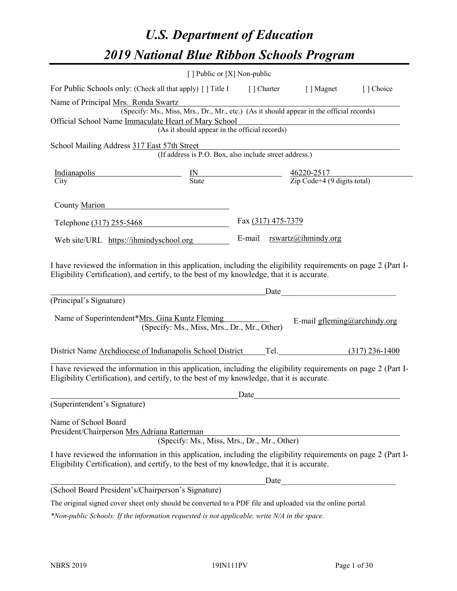# *U.S. Department of Education 2019 National Blue Ribbon Schools Program*

|                                                                                                                                                                                                              | [] Public or [X] Non-public                                                                                  |      |                              |  |
|--------------------------------------------------------------------------------------------------------------------------------------------------------------------------------------------------------------|--------------------------------------------------------------------------------------------------------------|------|------------------------------|--|
| For Public Schools only: (Check all that apply) [] Title I [] Charter [] Magnet [] Choice                                                                                                                    |                                                                                                              |      |                              |  |
| Name of Principal Mrs. Ronda Swartz                                                                                                                                                                          |                                                                                                              |      |                              |  |
|                                                                                                                                                                                                              | rs. Ronda Swartz<br>(Specify: Ms., Miss, Mrs., Dr., Mr., etc.) (As it should appear in the official records) |      |                              |  |
| Official School Name Immaculate Heart of Mary School                                                                                                                                                         | te Heart of Mary School<br>(As it should appear in the official records)                                     |      |                              |  |
|                                                                                                                                                                                                              |                                                                                                              |      |                              |  |
| School Mailing Address 317 East 57th Street                                                                                                                                                                  |                                                                                                              |      |                              |  |
|                                                                                                                                                                                                              | st 57th Street<br>(If address is P.O. Box, also include street address.)                                     |      |                              |  |
|                                                                                                                                                                                                              |                                                                                                              |      |                              |  |
| $\frac{\text{Indianapolis}}{\text{City}}$ $\frac{\text{IN}}{\text{State}}$ $\frac{46220-2517}{\text{Zip Code}+4 (9 digits total)}$<br>City                                                                   |                                                                                                              |      |                              |  |
|                                                                                                                                                                                                              |                                                                                                              |      |                              |  |
| County Marion                                                                                                                                                                                                |                                                                                                              |      |                              |  |
| Telephone (317) 255-5468 Fax (317) 475-7379                                                                                                                                                                  |                                                                                                              |      |                              |  |
| Web site/URL https://ihmindyschool.org                                                                                                                                                                       |                                                                                                              |      | E-mail rswartz@ihmindy.org   |  |
|                                                                                                                                                                                                              |                                                                                                              |      |                              |  |
| Eligibility Certification), and certify, to the best of my knowledge, that it is accurate.<br>(Principal's Signature)                                                                                        | <u>Date</u> Date                                                                                             |      |                              |  |
| Name of Superintendent*Mrs. Gina Kuntz Fleming                                                                                                                                                               | (Specify: Ms., Miss, Mrs., Dr., Mr., Other)                                                                  |      | E-mail gfleming@archindy.org |  |
| District Name Archdiocese of Indianapolis School District Tel. (317) 236-1400                                                                                                                                |                                                                                                              |      |                              |  |
| I have reviewed the information in this application, including the eligibility requirements on page 2 (Part I-<br>Eligibility Certification), and certify, to the best of my knowledge, that it is accurate. |                                                                                                              | Date |                              |  |
| (Superintendent's Signature)                                                                                                                                                                                 |                                                                                                              |      |                              |  |
|                                                                                                                                                                                                              |                                                                                                              |      |                              |  |
| Name of School Board                                                                                                                                                                                         |                                                                                                              |      |                              |  |
| President/Chairperson Mrs Adriana Ratterman                                                                                                                                                                  | (Specify: Ms., Miss, Mrs., Dr., Mr., Other)                                                                  |      |                              |  |
|                                                                                                                                                                                                              |                                                                                                              |      |                              |  |
| I have reviewed the information in this application, including the eligibility requirements on page 2 (Part I-<br>Eligibility Certification), and certify, to the best of my knowledge, that it is accurate. |                                                                                                              |      |                              |  |
|                                                                                                                                                                                                              |                                                                                                              |      |                              |  |
| (School Board President's/Chairperson's Signature)                                                                                                                                                           |                                                                                                              |      |                              |  |

The original signed cover sheet only should be converted to a PDF file and uploaded via the online portal.

*\*Non-public Schools: If the information requested is not applicable, write N/A in the space.*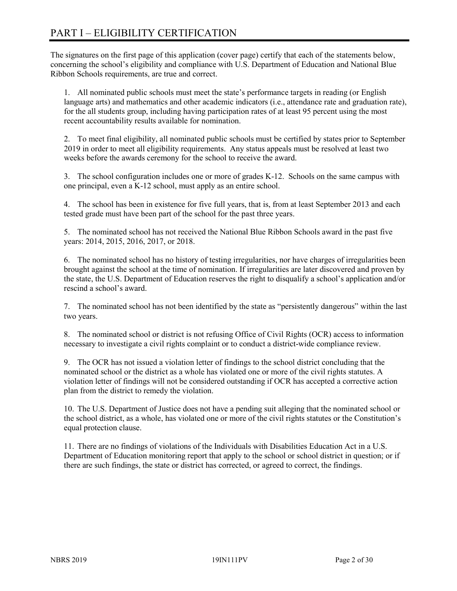# PART I – ELIGIBILITY CERTIFICATION

The signatures on the first page of this application (cover page) certify that each of the statements below, concerning the school's eligibility and compliance with U.S. Department of Education and National Blue Ribbon Schools requirements, are true and correct.

1. All nominated public schools must meet the state's performance targets in reading (or English language arts) and mathematics and other academic indicators (i.e., attendance rate and graduation rate), for the all students group, including having participation rates of at least 95 percent using the most recent accountability results available for nomination.

2. To meet final eligibility, all nominated public schools must be certified by states prior to September 2019 in order to meet all eligibility requirements. Any status appeals must be resolved at least two weeks before the awards ceremony for the school to receive the award.

3. The school configuration includes one or more of grades K-12. Schools on the same campus with one principal, even a K-12 school, must apply as an entire school.

4. The school has been in existence for five full years, that is, from at least September 2013 and each tested grade must have been part of the school for the past three years.

5. The nominated school has not received the National Blue Ribbon Schools award in the past five years: 2014, 2015, 2016, 2017, or 2018.

6. The nominated school has no history of testing irregularities, nor have charges of irregularities been brought against the school at the time of nomination. If irregularities are later discovered and proven by the state, the U.S. Department of Education reserves the right to disqualify a school's application and/or rescind a school's award.

7. The nominated school has not been identified by the state as "persistently dangerous" within the last two years.

8. The nominated school or district is not refusing Office of Civil Rights (OCR) access to information necessary to investigate a civil rights complaint or to conduct a district-wide compliance review.

9. The OCR has not issued a violation letter of findings to the school district concluding that the nominated school or the district as a whole has violated one or more of the civil rights statutes. A violation letter of findings will not be considered outstanding if OCR has accepted a corrective action plan from the district to remedy the violation.

10. The U.S. Department of Justice does not have a pending suit alleging that the nominated school or the school district, as a whole, has violated one or more of the civil rights statutes or the Constitution's equal protection clause.

11. There are no findings of violations of the Individuals with Disabilities Education Act in a U.S. Department of Education monitoring report that apply to the school or school district in question; or if there are such findings, the state or district has corrected, or agreed to correct, the findings.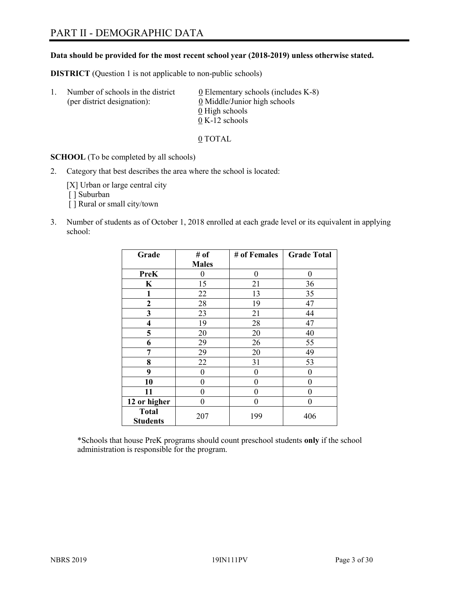# PART II - DEMOGRAPHIC DATA

#### **Data should be provided for the most recent school year (2018-2019) unless otherwise stated.**

**DISTRICT** (Question 1 is not applicable to non-public schools)

| Τ. | Number of schools in the district<br>(per district designation): | 0 Elementary schools (includes K-8)<br>0 Middle/Junior high schools |
|----|------------------------------------------------------------------|---------------------------------------------------------------------|
|    |                                                                  | 0 High schools                                                      |
|    |                                                                  | $0 K-12$ schools                                                    |

0 TOTAL

**SCHOOL** (To be completed by all schools)

2. Category that best describes the area where the school is located:

[X] Urban or large central city [ ] Suburban

- [] Rural or small city/town
- 3. Number of students as of October 1, 2018 enrolled at each grade level or its equivalent in applying school:

| Grade                           | # of         | # of Females     | <b>Grade Total</b> |
|---------------------------------|--------------|------------------|--------------------|
|                                 | <b>Males</b> |                  |                    |
| PreK                            | 0            | $\theta$         | 0                  |
| K                               | 15           | 21               | 36                 |
| 1                               | 22           | 13               | 35                 |
| $\mathbf{2}$                    | 28           | 19               | 47                 |
| 3                               | 23           | 21               | 44                 |
| 4                               | 19           | 28               | 47                 |
| 5                               | 20           | 20               | 40                 |
| 6                               | 29           | 26               | 55                 |
| 7                               | 29           | 20               | 49                 |
| 8                               | 22           | 31               | 53                 |
| 9                               | $\theta$     | $\theta$         | 0                  |
| 10                              | 0            | $\theta$         | 0                  |
| 11                              | 0            | $\boldsymbol{0}$ | 0                  |
| 12 or higher                    | 0            | $\theta$         | 0                  |
| <b>Total</b><br><b>Students</b> | 207          | 199              | 406                |

\*Schools that house PreK programs should count preschool students **only** if the school administration is responsible for the program.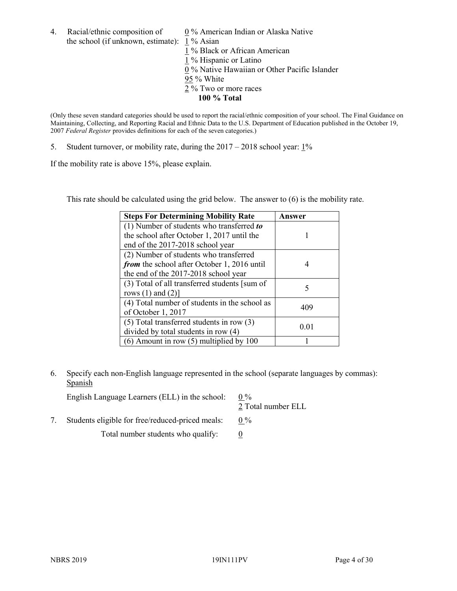4. Racial/ethnic composition of  $\qquad 0\%$  American Indian or Alaska Native the school (if unknown, estimate): 1 % Asian

 % Black or African American % Hispanic or Latino % Native Hawaiian or Other Pacific Islander 95 % White % Two or more races **100 % Total**

(Only these seven standard categories should be used to report the racial/ethnic composition of your school. The Final Guidance on Maintaining, Collecting, and Reporting Racial and Ethnic Data to the U.S. Department of Education published in the October 19, 2007 *Federal Register* provides definitions for each of the seven categories.)

5. Student turnover, or mobility rate, during the 2017 – 2018 school year: 1%

If the mobility rate is above 15%, please explain.

This rate should be calculated using the grid below. The answer to (6) is the mobility rate.

| <b>Steps For Determining Mobility Rate</b>    | Answer |
|-----------------------------------------------|--------|
| (1) Number of students who transferred to     |        |
| the school after October 1, 2017 until the    |        |
| end of the 2017-2018 school year              |        |
| (2) Number of students who transferred        |        |
| from the school after October 1, 2016 until   |        |
| the end of the 2017-2018 school year          |        |
| (3) Total of all transferred students [sum of | 5      |
| rows $(1)$ and $(2)$ ]                        |        |
| (4) Total number of students in the school as | 409    |
| of October 1, 2017                            |        |
| $(5)$ Total transferred students in row $(3)$ | 0.01   |
| divided by total students in row (4)          |        |
| (6) Amount in row (5) multiplied by 100       |        |

6. Specify each non-English language represented in the school (separate languages by commas): **Spanish** 

| English Language Learners (ELL) in the school: $0\%$ |               |
|------------------------------------------------------|---------------|
|                                                      | $2 \text{ T}$ |

2 Total number ELL

7. Students eligible for free/reduced-priced meals:  $0\%$ Total number students who qualify:  $\qquad 0$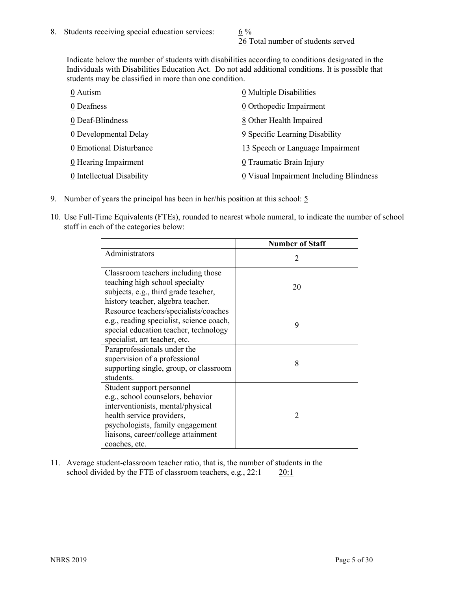26 Total number of students served

Indicate below the number of students with disabilities according to conditions designated in the Individuals with Disabilities Education Act. Do not add additional conditions. It is possible that students may be classified in more than one condition.

| 0 Autism                  | 0 Multiple Disabilities                 |
|---------------------------|-----------------------------------------|
| 0 Deafness                | 0 Orthopedic Impairment                 |
| 0 Deaf-Blindness          | 8 Other Health Impaired                 |
| 0 Developmental Delay     | 9 Specific Learning Disability          |
| 0 Emotional Disturbance   | 13 Speech or Language Impairment        |
| 0 Hearing Impairment      | 0 Traumatic Brain Injury                |
| 0 Intellectual Disability | 0 Visual Impairment Including Blindness |

- 9. Number of years the principal has been in her/his position at this school:  $\frac{5}{9}$
- 10. Use Full-Time Equivalents (FTEs), rounded to nearest whole numeral, to indicate the number of school staff in each of the categories below:

|                                                                                                                                                                                                                              | <b>Number of Staff</b>      |
|------------------------------------------------------------------------------------------------------------------------------------------------------------------------------------------------------------------------------|-----------------------------|
| Administrators                                                                                                                                                                                                               | $\mathcal{D}_{\mathcal{A}}$ |
| Classroom teachers including those<br>teaching high school specialty<br>subjects, e.g., third grade teacher,<br>history teacher, algebra teacher.                                                                            | 20                          |
| Resource teachers/specialists/coaches<br>e.g., reading specialist, science coach,<br>special education teacher, technology<br>specialist, art teacher, etc.                                                                  | 9                           |
| Paraprofessionals under the<br>supervision of a professional<br>supporting single, group, or classroom<br>students.                                                                                                          | 8                           |
| Student support personnel<br>e.g., school counselors, behavior<br>interventionists, mental/physical<br>health service providers,<br>psychologists, family engagement<br>liaisons, career/college attainment<br>coaches, etc. | $\mathfrak{D}$              |

11. Average student-classroom teacher ratio, that is, the number of students in the school divided by the FTE of classroom teachers, e.g., 22:1 20:1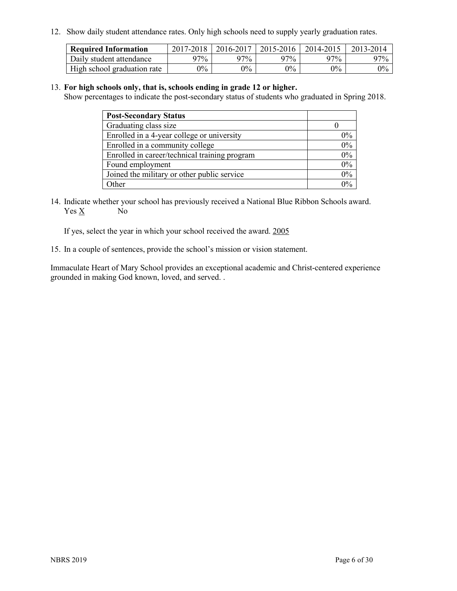12. Show daily student attendance rates. Only high schools need to supply yearly graduation rates.

| <b>Required Information</b> | 2017-2018 | 2016-2017 | 2015-2016 | 2014-2015 | 2013-2014 |
|-----------------------------|-----------|-----------|-----------|-----------|-----------|
| Daily student attendance    | 97%       | 97%       | 97%       | 97%       | $97\%$    |
| High school graduation rate | $0\%$     | $0\%$     | $0\%$     | $9\%$     | $0\%$     |

#### 13. **For high schools only, that is, schools ending in grade 12 or higher.**

Show percentages to indicate the post-secondary status of students who graduated in Spring 2018.

| <b>Post-Secondary Status</b>                  |       |
|-----------------------------------------------|-------|
| Graduating class size                         |       |
| Enrolled in a 4-year college or university    | $0\%$ |
| Enrolled in a community college               | 0%    |
| Enrolled in career/technical training program | $0\%$ |
| Found employment                              | 0%    |
| Joined the military or other public service   | $0\%$ |
| Other                                         | $0\%$ |

14. Indicate whether your school has previously received a National Blue Ribbon Schools award. Yes X No

If yes, select the year in which your school received the award. 2005

15. In a couple of sentences, provide the school's mission or vision statement.

Immaculate Heart of Mary School provides an exceptional academic and Christ-centered experience grounded in making God known, loved, and served. .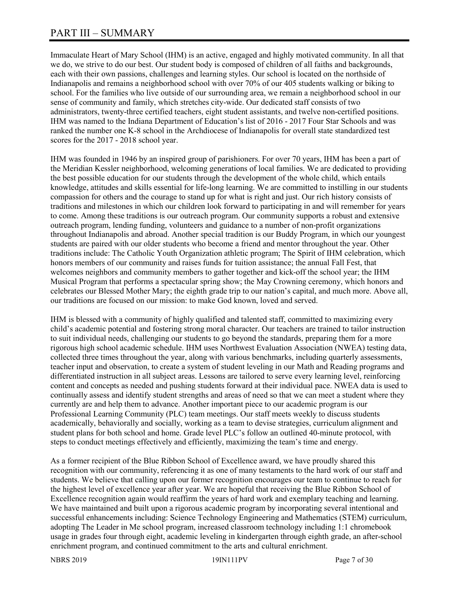# PART III – SUMMARY

Immaculate Heart of Mary School (IHM) is an active, engaged and highly motivated community. In all that we do, we strive to do our best. Our student body is composed of children of all faiths and backgrounds, each with their own passions, challenges and learning styles. Our school is located on the northside of Indianapolis and remains a neighborhood school with over 70% of our 405 students walking or biking to school. For the families who live outside of our surrounding area, we remain a neighborhood school in our sense of community and family, which stretches city-wide. Our dedicated staff consists of two administrators, twenty-three certified teachers, eight student assistants, and twelve non-certified positions. IHM was named to the Indiana Department of Education's list of 2016 - 2017 Four Star Schools and was ranked the number one K-8 school in the Archdiocese of Indianapolis for overall state standardized test scores for the 2017 - 2018 school year.

IHM was founded in 1946 by an inspired group of parishioners. For over 70 years, IHM has been a part of the Meridian Kessler neighborhood, welcoming generations of local families. We are dedicated to providing the best possible education for our students through the development of the whole child, which entails knowledge, attitudes and skills essential for life-long learning. We are committed to instilling in our students compassion for others and the courage to stand up for what is right and just. Our rich history consists of traditions and milestones in which our children look forward to participating in and will remember for years to come. Among these traditions is our outreach program. Our community supports a robust and extensive outreach program, lending funding, volunteers and guidance to a number of non-profit organizations throughout Indianapolis and abroad. Another special tradition is our Buddy Program, in which our youngest students are paired with our older students who become a friend and mentor throughout the year. Other traditions include: The Catholic Youth Organization athletic program; The Spirit of IHM celebration, which honors members of our community and raises funds for tuition assistance; the annual Fall Fest, that welcomes neighbors and community members to gather together and kick-off the school year; the IHM Musical Program that performs a spectacular spring show; the May Crowning ceremony, which honors and celebrates our Blessed Mother Mary; the eighth grade trip to our nation's capital, and much more. Above all, our traditions are focused on our mission: to make God known, loved and served.

IHM is blessed with a community of highly qualified and talented staff, committed to maximizing every child's academic potential and fostering strong moral character. Our teachers are trained to tailor instruction to suit individual needs, challenging our students to go beyond the standards, preparing them for a more rigorous high school academic schedule. IHM uses Northwest Evaluation Association (NWEA) testing data, collected three times throughout the year, along with various benchmarks, including quarterly assessments, teacher input and observation, to create a system of student leveling in our Math and Reading programs and differentiated instruction in all subject areas. Lessons are tailored to serve every learning level, reinforcing content and concepts as needed and pushing students forward at their individual pace. NWEA data is used to continually assess and identify student strengths and areas of need so that we can meet a student where they currently are and help them to advance. Another important piece to our academic program is our Professional Learning Community (PLC) team meetings. Our staff meets weekly to discuss students academically, behaviorally and socially, working as a team to devise strategies, curriculum alignment and student plans for both school and home. Grade level PLC's follow an outlined 40-minute protocol, with steps to conduct meetings effectively and efficiently, maximizing the team's time and energy.

As a former recipient of the Blue Ribbon School of Excellence award, we have proudly shared this recognition with our community, referencing it as one of many testaments to the hard work of our staff and students. We believe that calling upon our former recognition encourages our team to continue to reach for the highest level of excellence year after year. We are hopeful that receiving the Blue Ribbon School of Excellence recognition again would reaffirm the years of hard work and exemplary teaching and learning. We have maintained and built upon a rigorous academic program by incorporating several intentional and successful enhancements including: Science Technology Engineering and Mathematics (STEM) curriculum, adopting The Leader in Me school program, increased classroom technology including 1:1 chromebook usage in grades four through eight, academic leveling in kindergarten through eighth grade, an after-school enrichment program, and continued commitment to the arts and cultural enrichment.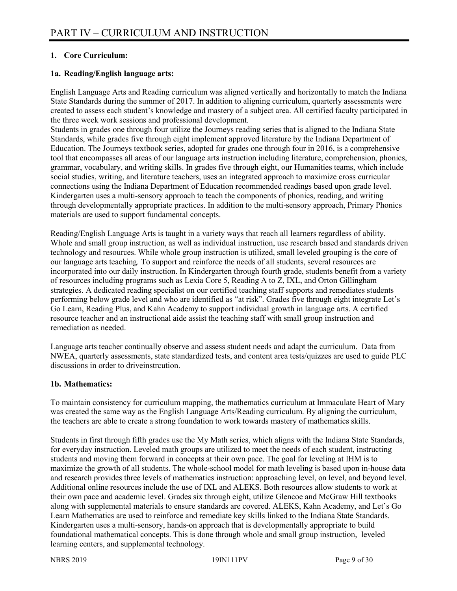#### **1. Core Curriculum:**

#### **1a. Reading/English language arts:**

English Language Arts and Reading curriculum was aligned vertically and horizontally to match the Indiana State Standards during the summer of 2017. In addition to aligning curriculum, quarterly assessments were created to assess each student's knowledge and mastery of a subject area. All certified faculty participated in the three week work sessions and professional development.

Students in grades one through four utilize the Journeys reading series that is aligned to the Indiana State Standards, while grades five through eight implement approved literature by the Indiana Department of Education. The Journeys textbook series, adopted for grades one through four in 2016, is a comprehensive tool that encompasses all areas of our language arts instruction including literature, comprehension, phonics, grammar, vocabulary, and writing skills. In grades five through eight, our Humanities teams, which include social studies, writing, and literature teachers, uses an integrated approach to maximize cross curricular connections using the Indiana Department of Education recommended readings based upon grade level. Kindergarten uses a multi-sensory approach to teach the components of phonics, reading, and writing through developmentally appropriate practices. In addition to the multi-sensory approach, Primary Phonics materials are used to support fundamental concepts.

Reading/English Language Arts is taught in a variety ways that reach all learners regardless of ability. Whole and small group instruction, as well as individual instruction, use research based and standards driven technology and resources. While whole group instruction is utilized, small leveled grouping is the core of our language arts teaching. To support and reinforce the needs of all students, several resources are incorporated into our daily instruction. In Kindergarten through fourth grade, students benefit from a variety of resources including programs such as Lexia Core 5, Reading A to Z, IXL, and Orton Gillingham strategies. A dedicated reading specialist on our certified teaching staff supports and remediates students performing below grade level and who are identified as "at risk". Grades five through eight integrate Let's Go Learn, Reading Plus, and Kahn Academy to support individual growth in language arts. A certified resource teacher and an instructional aide assist the teaching staff with small group instruction and remediation as needed.

Language arts teacher continually observe and assess student needs and adapt the curriculum. Data from NWEA, quarterly assessments, state standardized tests, and content area tests/quizzes are used to guide PLC discussions in order to driveinstrcution.

#### **1b. Mathematics:**

To maintain consistency for curriculum mapping, the mathematics curriculum at Immaculate Heart of Mary was created the same way as the English Language Arts/Reading curriculum. By aligning the curriculum, the teachers are able to create a strong foundation to work towards mastery of mathematics skills.

Students in first through fifth grades use the My Math series, which aligns with the Indiana State Standards, for everyday instruction. Leveled math groups are utilized to meet the needs of each student, instructing students and moving them forward in concepts at their own pace. The goal for leveling at IHM is to maximize the growth of all students. The whole-school model for math leveling is based upon in-house data and research provides three levels of mathematics instruction: approaching level, on level, and beyond level. Additional online resources include the use of IXL and ALEKS. Both resources allow students to work at their own pace and academic level. Grades six through eight, utilize Glencoe and McGraw Hill textbooks along with supplemental materials to ensure standards are covered. ALEKS, Kahn Academy, and Let's Go Learn Mathematics are used to reinforce and remediate key skills linked to the Indiana State Standards. Kindergarten uses a multi-sensory, hands-on approach that is developmentally appropriate to build foundational mathematical concepts. This is done through whole and small group instruction, leveled learning centers, and supplemental technology.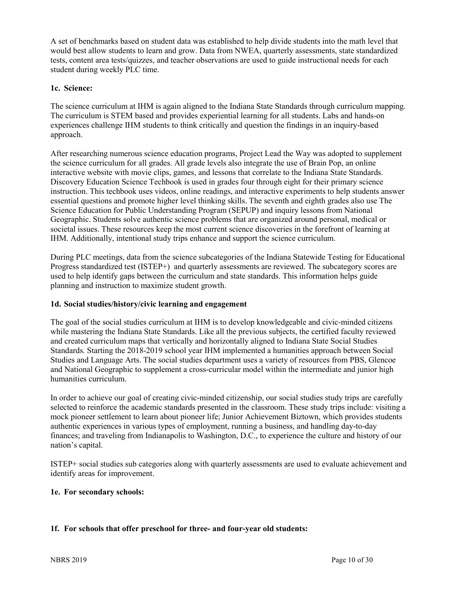A set of benchmarks based on student data was established to help divide students into the math level that would best allow students to learn and grow. Data from NWEA, quarterly assessments, state standardized tests, content area tests/quizzes, and teacher observations are used to guide instructional needs for each student during weekly PLC time.

#### **1c. Science:**

The science curriculum at IHM is again aligned to the Indiana State Standards through curriculum mapping. The curriculum is STEM based and provides experiential learning for all students. Labs and hands-on experiences challenge IHM students to think critically and question the findings in an inquiry-based approach.

After researching numerous science education programs, Project Lead the Way was adopted to supplement the science curriculum for all grades. All grade levels also integrate the use of Brain Pop, an online interactive website with movie clips, games, and lessons that correlate to the Indiana State Standards. Discovery Education Science Techbook is used in grades four through eight for their primary science instruction. This techbook uses videos, online readings, and interactive experiments to help students answer essential questions and promote higher level thinking skills. The seventh and eighth grades also use The Science Education for Public Understanding Program (SEPUP) and inquiry lessons from National Geographic. Students solve authentic science problems that are organized around personal, medical or societal issues. These resources keep the most current science discoveries in the forefront of learning at IHM. Additionally, intentional study trips enhance and support the science curriculum.

During PLC meetings, data from the science subcategories of the Indiana Statewide Testing for Educational Progress standardized test (ISTEP+) and quarterly assessments are reviewed. The subcategory scores are used to help identify gaps between the curriculum and state standards. This information helps guide planning and instruction to maximize student growth.

#### **1d. Social studies/history/civic learning and engagement**

The goal of the social studies curriculum at IHM is to develop knowledgeable and civic-minded citizens while mastering the Indiana State Standards. Like all the previous subjects, the certified faculty reviewed and created curriculum maps that vertically and horizontally aligned to Indiana State Social Studies Standards. Starting the 2018-2019 school year IHM implemented a humanities approach between Social Studies and Language Arts. The social studies department uses a variety of resources from PBS, Glencoe and National Geographic to supplement a cross-curricular model within the intermediate and junior high humanities curriculum.

In order to achieve our goal of creating civic-minded citizenship, our social studies study trips are carefully selected to reinforce the academic standards presented in the classroom. These study trips include: visiting a mock pioneer settlement to learn about pioneer life; Junior Achievement Biztown, which provides students authentic experiences in various types of employment, running a business, and handling day-to-day finances; and traveling from Indianapolis to Washington, D.C., to experience the culture and history of our nation's capital.

ISTEP+ social studies sub categories along with quarterly assessments are used to evaluate achievement and identify areas for improvement.

#### **1e. For secondary schools:**

#### **1f. For schools that offer preschool for three- and four-year old students:**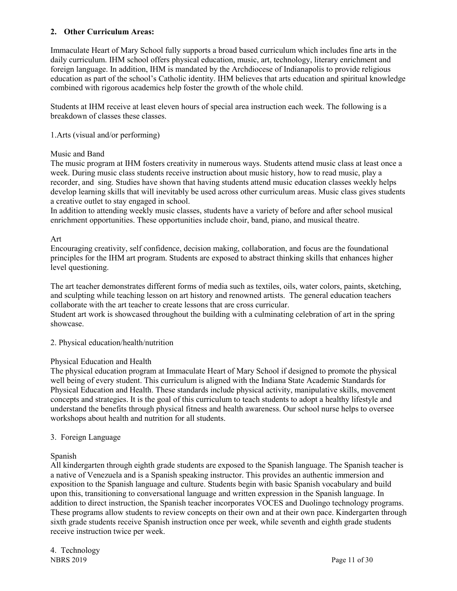#### **2. Other Curriculum Areas:**

Immaculate Heart of Mary School fully supports a broad based curriculum which includes fine arts in the daily curriculum. IHM school offers physical education, music, art, technology, literary enrichment and foreign language. In addition, IHM is mandated by the Archdiocese of Indianapolis to provide religious education as part of the school's Catholic identity. IHM believes that arts education and spiritual knowledge combined with rigorous academics help foster the growth of the whole child.

Students at IHM receive at least eleven hours of special area instruction each week. The following is a breakdown of classes these classes.

#### 1.Arts (visual and/or performing)

#### Music and Band

The music program at IHM fosters creativity in numerous ways. Students attend music class at least once a week. During music class students receive instruction about music history, how to read music, play a recorder, and sing. Studies have shown that having students attend music education classes weekly helps develop learning skills that will inevitably be used across other curriculum areas. Music class gives students a creative outlet to stay engaged in school.

In addition to attending weekly music classes, students have a variety of before and after school musical enrichment opportunities. These opportunities include choir, band, piano, and musical theatre.

#### Art

Encouraging creativity, self confidence, decision making, collaboration, and focus are the foundational principles for the IHM art program. Students are exposed to abstract thinking skills that enhances higher level questioning.

The art teacher demonstrates different forms of media such as textiles, oils, water colors, paints, sketching, and sculpting while teaching lesson on art history and renowned artists. The general education teachers collaborate with the art teacher to create lessons that are cross curricular.

Student art work is showcased throughout the building with a culminating celebration of art in the spring showcase.

#### 2. Physical education/health/nutrition

#### Physical Education and Health

The physical education program at Immaculate Heart of Mary School if designed to promote the physical well being of every student. This curriculum is aligned with the Indiana State Academic Standards for Physical Education and Health. These standards include physical activity, manipulative skills, movement concepts and strategies. It is the goal of this curriculum to teach students to adopt a healthy lifestyle and understand the benefits through physical fitness and health awareness. Our school nurse helps to oversee workshops about health and nutrition for all students.

#### 3. Foreign Language

#### Spanish

All kindergarten through eighth grade students are exposed to the Spanish language. The Spanish teacher is a native of Venezuela and is a Spanish speaking instructor. This provides an authentic immersion and exposition to the Spanish language and culture. Students begin with basic Spanish vocabulary and build upon this, transitioning to conversational language and written expression in the Spanish language. In addition to direct instruction, the Spanish teacher incorporates VOCES and Duolingo technology programs. These programs allow students to review concepts on their own and at their own pace. Kindergarten through sixth grade students receive Spanish instruction once per week, while seventh and eighth grade students receive instruction twice per week.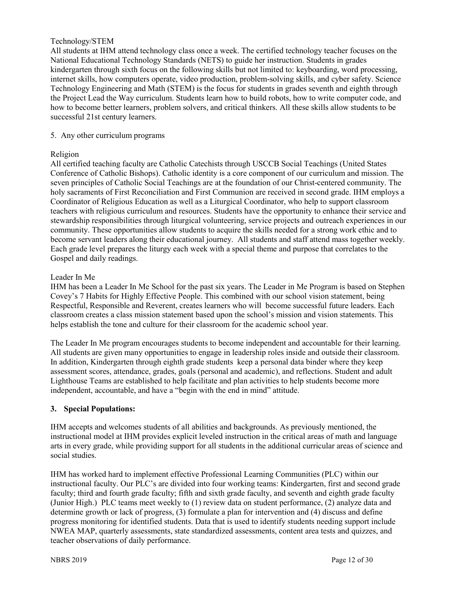#### Technology/STEM

All students at IHM attend technology class once a week. The certified technology teacher focuses on the National Educational Technology Standards (NETS) to guide her instruction. Students in grades kindergarten through sixth focus on the following skills but not limited to: keyboarding, word processing, internet skills, how computers operate, video production, problem-solving skills, and cyber safety. Science Technology Engineering and Math (STEM) is the focus for students in grades seventh and eighth through the Project Lead the Way curriculum. Students learn how to build robots, how to write computer code, and how to become better learners, problem solvers, and critical thinkers. All these skills allow students to be successful 21st century learners.

#### 5. Any other curriculum programs

#### Religion

All certified teaching faculty are Catholic Catechists through USCCB Social Teachings (United States Conference of Catholic Bishops). Catholic identity is a core component of our curriculum and mission. The seven principles of Catholic Social Teachings are at the foundation of our Christ-centered community. The holy sacraments of First Reconciliation and First Communion are received in second grade. IHM employs a Coordinator of Religious Education as well as a Liturgical Coordinator, who help to support classroom teachers with religious curriculum and resources. Students have the opportunity to enhance their service and stewardship responsibilities through liturgical volunteering, service projects and outreach experiences in our community. These opportunities allow students to acquire the skills needed for a strong work ethic and to become servant leaders along their educational journey. All students and staff attend mass together weekly. Each grade level prepares the liturgy each week with a special theme and purpose that correlates to the Gospel and daily readings.

#### Leader In Me

IHM has been a Leader In Me School for the past six years. The Leader in Me Program is based on Stephen Covey's 7 Habits for Highly Effective People. This combined with our school vision statement, being Respectful, Responsible and Reverent, creates learners who will become successful future leaders. Each classroom creates a class mission statement based upon the school's mission and vision statements. This helps establish the tone and culture for their classroom for the academic school year.

The Leader In Me program encourages students to become independent and accountable for their learning. All students are given many opportunities to engage in leadership roles inside and outside their classroom. In addition, Kindergarten through eighth grade students keep a personal data binder where they keep assessment scores, attendance, grades, goals (personal and academic), and reflections. Student and adult Lighthouse Teams are established to help facilitate and plan activities to help students become more independent, accountable, and have a "begin with the end in mind" attitude.

#### **3. Special Populations:**

IHM accepts and welcomes students of all abilities and backgrounds. As previously mentioned, the instructional model at IHM provides explicit leveled instruction in the critical areas of math and language arts in every grade, while providing support for all students in the additional curricular areas of science and social studies.

IHM has worked hard to implement effective Professional Learning Communities (PLC) within our instructional faculty. Our PLC's are divided into four working teams: Kindergarten, first and second grade faculty; third and fourth grade faculty; fifth and sixth grade faculty, and seventh and eighth grade faculty (Junior High.) PLC teams meet weekly to (1) review data on student performance, (2) analyze data and determine growth or lack of progress, (3) formulate a plan for intervention and (4) discuss and define progress monitoring for identified students. Data that is used to identify students needing support include NWEA MAP, quarterly assessments, state standardized assessments, content area tests and quizzes, and teacher observations of daily performance.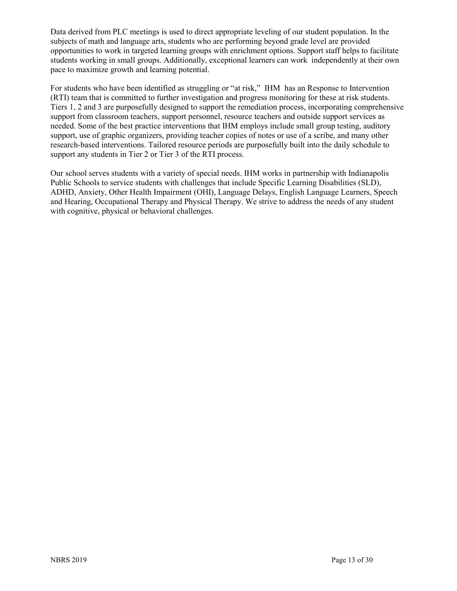Data derived from PLC meetings is used to direct appropriate leveling of our student population. In the subjects of math and language arts, students who are performing beyond grade level are provided opportunities to work in targeted learning groups with enrichment options. Support staff helps to facilitate students working in small groups. Additionally, exceptional learners can work independently at their own pace to maximize growth and learning potential.

For students who have been identified as struggling or "at risk," IHM has an Response to Intervention (RTI) team that is committed to further investigation and progress monitoring for these at risk students. Tiers 1, 2 and 3 are purposefully designed to support the remediation process, incorporating comprehensive support from classroom teachers, support personnel, resource teachers and outside support services as needed. Some of the best practice interventions that IHM employs include small group testing, auditory support, use of graphic organizers, providing teacher copies of notes or use of a scribe, and many other research-based interventions. Tailored resource periods are purposefully built into the daily schedule to support any students in Tier 2 or Tier 3 of the RTI process.

Our school serves students with a variety of special needs. IHM works in partnership with Indianapolis Public Schools to service students with challenges that include Specific Learning Disabilities (SLD), ADHD, Anxiety, Other Health Impairment (OHI), Language Delays, English Language Learners, Speech and Hearing, Occupational Therapy and Physical Therapy. We strive to address the needs of any student with cognitive, physical or behavioral challenges.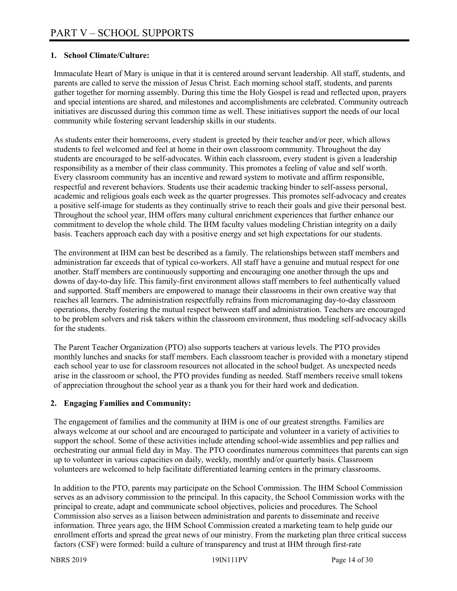#### **1. School Climate/Culture:**

Immaculate Heart of Mary is unique in that it is centered around servant leadership. All staff, students, and parents are called to serve the mission of Jesus Christ. Each morning school staff, students, and parents gather together for morning assembly. During this time the Holy Gospel is read and reflected upon, prayers and special intentions are shared, and milestones and accomplishments are celebrated. Community outreach initiatives are discussed during this common time as well. These initiatives support the needs of our local community while fostering servant leadership skills in our students.

As students enter their homerooms, every student is greeted by their teacher and/or peer, which allows students to feel welcomed and feel at home in their own classroom community. Throughout the day students are encouraged to be self-advocates. Within each classroom, every student is given a leadership responsibility as a member of their class community. This promotes a feeling of value and self worth. Every classroom community has an incentive and reward system to motivate and affirm responsible, respectful and reverent behaviors. Students use their academic tracking binder to self-assess personal, academic and religious goals each week as the quarter progresses. This promotes self-advocacy and creates a positive self-image for students as they continually strive to reach their goals and give their personal best. Throughout the school year, IHM offers many cultural enrichment experiences that further enhance our commitment to develop the whole child. The IHM faculty values modeling Christian integrity on a daily basis. Teachers approach each day with a positive energy and set high expectations for our students.

The environment at IHM can best be described as a family. The relationships between staff members and administration far exceeds that of typical co-workers. All staff have a genuine and mutual respect for one another. Staff members are continuously supporting and encouraging one another through the ups and downs of day-to-day life. This family-first environment allows staff members to feel authentically valued and supported. Staff members are empowered to manage their classrooms in their own creative way that reaches all learners. The administration respectfully refrains from micromanaging day-to-day classroom operations, thereby fostering the mutual respect between staff and administration. Teachers are encouraged to be problem solvers and risk takers within the classroom environment, thus modeling self-advocacy skills for the students.

The Parent Teacher Organization (PTO) also supports teachers at various levels. The PTO provides monthly lunches and snacks for staff members. Each classroom teacher is provided with a monetary stipend each school year to use for classroom resources not allocated in the school budget. As unexpected needs arise in the classroom or school, the PTO provides funding as needed. Staff members receive small tokens of appreciation throughout the school year as a thank you for their hard work and dedication.

#### **2. Engaging Families and Community:**

The engagement of families and the community at IHM is one of our greatest strengths. Families are always welcome at our school and are encouraged to participate and volunteer in a variety of activities to support the school. Some of these activities include attending school-wide assemblies and pep rallies and orchestrating our annual field day in May. The PTO coordinates numerous committees that parents can sign up to volunteer in various capacities on daily, weekly, monthly and/or quarterly basis. Classroom volunteers are welcomed to help facilitate differentiated learning centers in the primary classrooms.

In addition to the PTO, parents may participate on the School Commission. The IHM School Commission serves as an advisory commission to the principal. In this capacity, the School Commission works with the principal to create, adapt and communicate school objectives, policies and procedures. The School Commission also serves as a liaison between administration and parents to disseminate and receive information. Three years ago, the IHM School Commission created a marketing team to help guide our enrollment efforts and spread the great news of our ministry. From the marketing plan three critical success factors (CSF) were formed: build a culture of transparency and trust at IHM through first-rate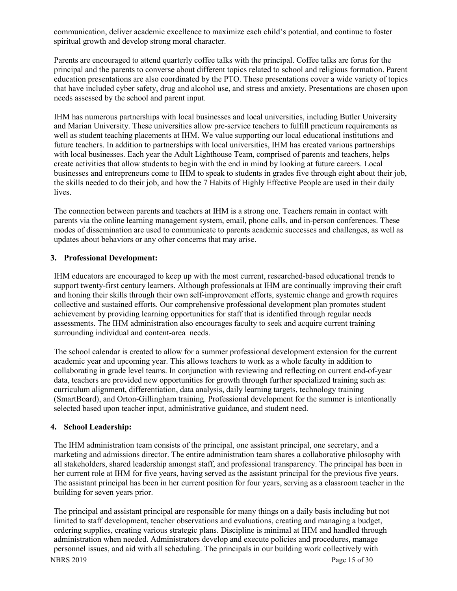communication, deliver academic excellence to maximize each child's potential, and continue to foster spiritual growth and develop strong moral character.

Parents are encouraged to attend quarterly coffee talks with the principal. Coffee talks are forus for the principal and the parents to converse about different topics related to school and religious formation. Parent education presentations are also coordinated by the PTO. These presentations cover a wide variety of topics that have included cyber safety, drug and alcohol use, and stress and anxiety. Presentations are chosen upon needs assessed by the school and parent input.

IHM has numerous partnerships with local businesses and local universities, including Butler University and Marian University. These universities allow pre-service teachers to fulfill practicum requirements as well as student teaching placements at IHM. We value supporting our local educational institutions and future teachers. In addition to partnerships with local universities, IHM has created various partnerships with local businesses. Each year the Adult Lighthouse Team, comprised of parents and teachers, helps create activities that allow students to begin with the end in mind by looking at future careers. Local businesses and entrepreneurs come to IHM to speak to students in grades five through eight about their job, the skills needed to do their job, and how the 7 Habits of Highly Effective People are used in their daily lives.

The connection between parents and teachers at IHM is a strong one. Teachers remain in contact with parents via the online learning management system, email, phone calls, and in-person conferences. These modes of dissemination are used to communicate to parents academic successes and challenges, as well as updates about behaviors or any other concerns that may arise.

#### **3. Professional Development:**

IHM educators are encouraged to keep up with the most current, researched-based educational trends to support twenty-first century learners. Although professionals at IHM are continually improving their craft and honing their skills through their own self-improvement efforts, systemic change and growth requires collective and sustained efforts. Our comprehensive professional development plan promotes student achievement by providing learning opportunities for staff that is identified through regular needs assessments. The IHM administration also encourages faculty to seek and acquire current training surrounding individual and content-area needs.

The school calendar is created to allow for a summer professional development extension for the current academic year and upcoming year. This allows teachers to work as a whole faculty in addition to collaborating in grade level teams. In conjunction with reviewing and reflecting on current end-of-year data, teachers are provided new opportunities for growth through further specialized training such as: curriculum alignment, differentiation, data analysis, daily learning targets, technology training (SmartBoard), and Orton-Gillingham training. Professional development for the summer is intentionally selected based upon teacher input, administrative guidance, and student need.

#### **4. School Leadership:**

The IHM administration team consists of the principal, one assistant principal, one secretary, and a marketing and admissions director. The entire administration team shares a collaborative philosophy with all stakeholders, shared leadership amongst staff, and professional transparency. The principal has been in her current role at IHM for five years, having served as the assistant principal for the previous five years. The assistant principal has been in her current position for four years, serving as a classroom teacher in the building for seven years prior.

NBRS 2019 Page 15 of 30 The principal and assistant principal are responsible for many things on a daily basis including but not limited to staff development, teacher observations and evaluations, creating and managing a budget, ordering supplies, creating various strategic plans. Discipline is minimal at IHM and handled through administration when needed. Administrators develop and execute policies and procedures, manage personnel issues, and aid with all scheduling. The principals in our building work collectively with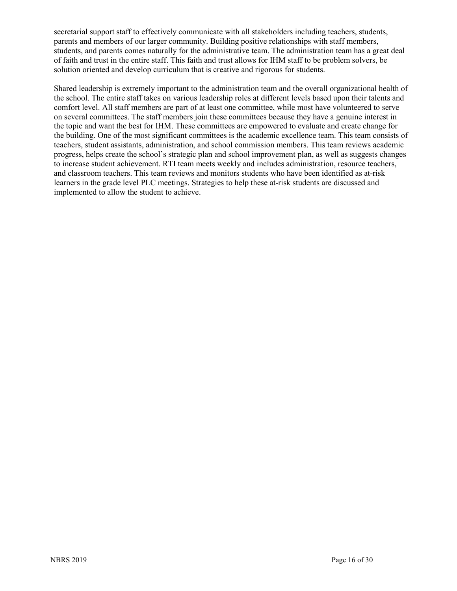secretarial support staff to effectively communicate with all stakeholders including teachers, students, parents and members of our larger community. Building positive relationships with staff members, students, and parents comes naturally for the administrative team. The administration team has a great deal of faith and trust in the entire staff. This faith and trust allows for IHM staff to be problem solvers, be solution oriented and develop curriculum that is creative and rigorous for students.

Shared leadership is extremely important to the administration team and the overall organizational health of the school. The entire staff takes on various leadership roles at different levels based upon their talents and comfort level. All staff members are part of at least one committee, while most have volunteered to serve on several committees. The staff members join these committees because they have a genuine interest in the topic and want the best for IHM. These committees are empowered to evaluate and create change for the building. One of the most significant committees is the academic excellence team. This team consists of teachers, student assistants, administration, and school commission members. This team reviews academic progress, helps create the school's strategic plan and school improvement plan, as well as suggests changes to increase student achievement. RTI team meets weekly and includes administration, resource teachers, and classroom teachers. This team reviews and monitors students who have been identified as at-risk learners in the grade level PLC meetings. Strategies to help these at-risk students are discussed and implemented to allow the student to achieve.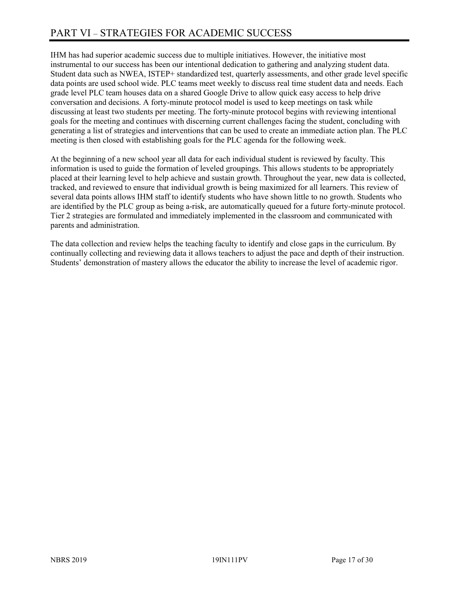IHM has had superior academic success due to multiple initiatives. However, the initiative most instrumental to our success has been our intentional dedication to gathering and analyzing student data. Student data such as NWEA, ISTEP+ standardized test, quarterly assessments, and other grade level specific data points are used school wide. PLC teams meet weekly to discuss real time student data and needs. Each grade level PLC team houses data on a shared Google Drive to allow quick easy access to help drive conversation and decisions. A forty-minute protocol model is used to keep meetings on task while discussing at least two students per meeting. The forty-minute protocol begins with reviewing intentional goals for the meeting and continues with discerning current challenges facing the student, concluding with generating a list of strategies and interventions that can be used to create an immediate action plan. The PLC meeting is then closed with establishing goals for the PLC agenda for the following week.

At the beginning of a new school year all data for each individual student is reviewed by faculty. This information is used to guide the formation of leveled groupings. This allows students to be appropriately placed at their learning level to help achieve and sustain growth. Throughout the year, new data is collected, tracked, and reviewed to ensure that individual growth is being maximized for all learners. This review of several data points allows IHM staff to identify students who have shown little to no growth. Students who are identified by the PLC group as being a-risk, are automatically queued for a future forty-minute protocol. Tier 2 strategies are formulated and immediately implemented in the classroom and communicated with parents and administration.

The data collection and review helps the teaching faculty to identify and close gaps in the curriculum. By continually collecting and reviewing data it allows teachers to adjust the pace and depth of their instruction. Students' demonstration of mastery allows the educator the ability to increase the level of academic rigor.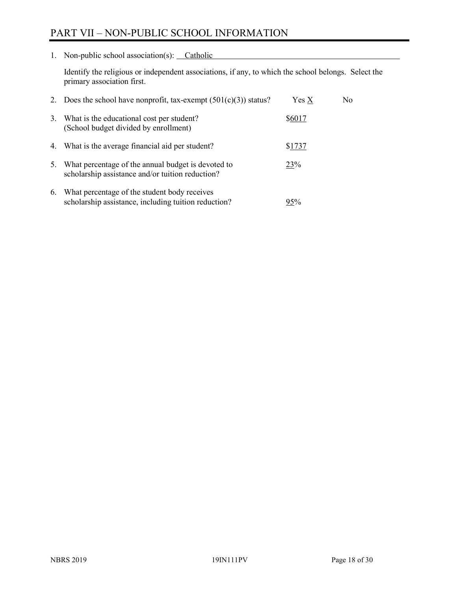# PART VII – NON-PUBLIC SCHOOL INFORMATION

1. Non-public school association(s): Catholic

Identify the religious or independent associations, if any, to which the school belongs. Select the primary association first.

|    | 2. Does the school have nonprofit, tax-exempt $(501(c)(3))$ status?                                    | Yes X  | No. |
|----|--------------------------------------------------------------------------------------------------------|--------|-----|
| 3. | What is the educational cost per student?<br>(School budget divided by enrollment)                     | \$6017 |     |
|    | 4. What is the average financial aid per student?                                                      | \$1737 |     |
| 5. | What percentage of the annual budget is devoted to<br>scholarship assistance and/or tuition reduction? | 23%    |     |
| 6. | What percentage of the student body receives<br>scholarship assistance, including tuition reduction?   | 95%    |     |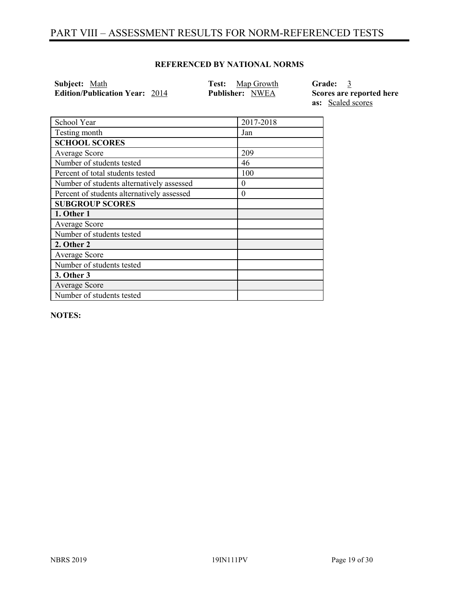## PART VIII – ASSESSMENT RESULTS FOR NORM-REFERENCED TESTS

#### **REFERENCED BY NATIONAL NORMS**

**Subject:** Math **Test:** Map Growth **Grade:** 3 **Edition/Publication Year:** 2014 **Publisher:** NWEA **Scores are reported here** 

**as:** Scaled scores

| School Year                                | 2017-2018 |
|--------------------------------------------|-----------|
| Testing month                              | Jan       |
| <b>SCHOOL SCORES</b>                       |           |
| Average Score                              | 209       |
| Number of students tested                  | 46        |
| Percent of total students tested           | 100       |
| Number of students alternatively assessed  | $\theta$  |
| Percent of students alternatively assessed | $\theta$  |
| <b>SUBGROUP SCORES</b>                     |           |
| 1. Other 1                                 |           |
| Average Score                              |           |
| Number of students tested                  |           |
| 2. Other 2                                 |           |
| Average Score                              |           |
| Number of students tested                  |           |
| 3. Other 3                                 |           |
| Average Score                              |           |
| Number of students tested                  |           |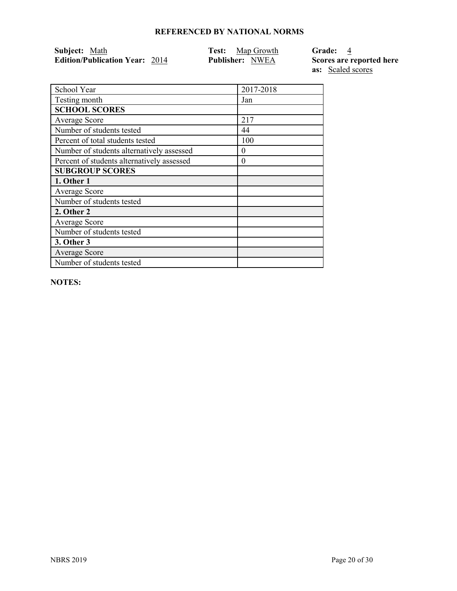| Subject: Math                         | <b>Test:</b> Map Growth | Grade: 4       |
|---------------------------------------|-------------------------|----------------|
| <b>Edition/Publication Year: 2014</b> | <b>Publisher: NWEA</b>  | Scores are rep |

**Ported here as:** Scaled scores

| School Year                                | 2017-2018 |
|--------------------------------------------|-----------|
| Testing month                              | Jan       |
| <b>SCHOOL SCORES</b>                       |           |
| Average Score                              | 217       |
| Number of students tested                  | 44        |
| Percent of total students tested           | 100       |
| Number of students alternatively assessed  | $\theta$  |
| Percent of students alternatively assessed | 0         |
| <b>SUBGROUP SCORES</b>                     |           |
| 1. Other 1                                 |           |
| <b>Average Score</b>                       |           |
| Number of students tested                  |           |
| 2. Other 2                                 |           |
| <b>Average Score</b>                       |           |
| Number of students tested                  |           |
| 3. Other 3                                 |           |
| <b>Average Score</b>                       |           |
| Number of students tested                  |           |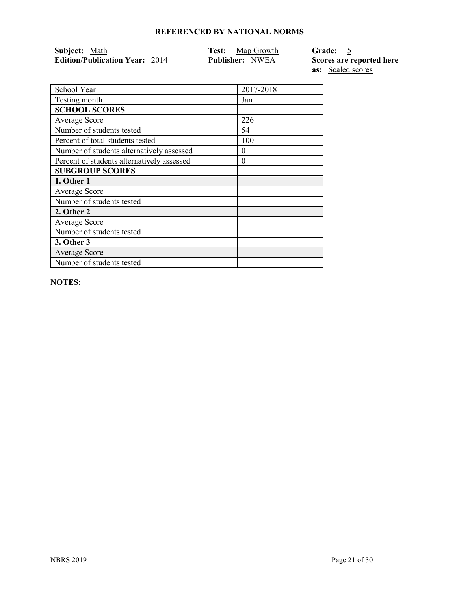| Subject: Math                         | <b>Test:</b> Map Growth | <b>Grade:</b>  |
|---------------------------------------|-------------------------|----------------|
| <b>Edition/Publication Year: 2014</b> | <b>Publisher: NWEA</b>  | Scores are rep |

**Ported here as:** Scaled scores

| School Year                                | 2017-2018 |
|--------------------------------------------|-----------|
| Testing month                              | Jan       |
| <b>SCHOOL SCORES</b>                       |           |
| Average Score                              | 226       |
| Number of students tested                  | 54        |
| Percent of total students tested           | 100       |
| Number of students alternatively assessed  | 0         |
| Percent of students alternatively assessed | 0         |
| <b>SUBGROUP SCORES</b>                     |           |
| 1. Other 1                                 |           |
| Average Score                              |           |
| Number of students tested                  |           |
| 2. Other 2                                 |           |
| Average Score                              |           |
| Number of students tested                  |           |
| 3. Other 3                                 |           |
| Average Score                              |           |
| Number of students tested                  |           |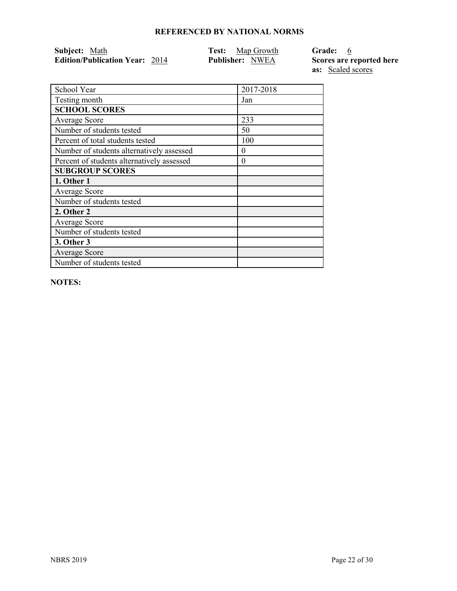| Subject: Math                         | <b>Test:</b> Map Growth | Grade: 6                 |
|---------------------------------------|-------------------------|--------------------------|
| <b>Edition/Publication Year: 2014</b> | <b>Publisher:</b> NWEA  | Scores are reported here |

**as:** Scaled scores School Year 2017-2018 Testing month Jan Average Score 233 Number of students tested 50 Percent of total students tested 100 Number of students alternatively assessed  $\vert 0 \rangle$ Percent of students alternatively assessed 0

**NOTES:** 

**SCHOOL SCORES**

**SUBGROUP SCORES**

Number of students tested

Number of students tested

Number of students tested

**1. Other 1** Average Score

**2. Other 2** Average Score

**3. Other 3** Average Score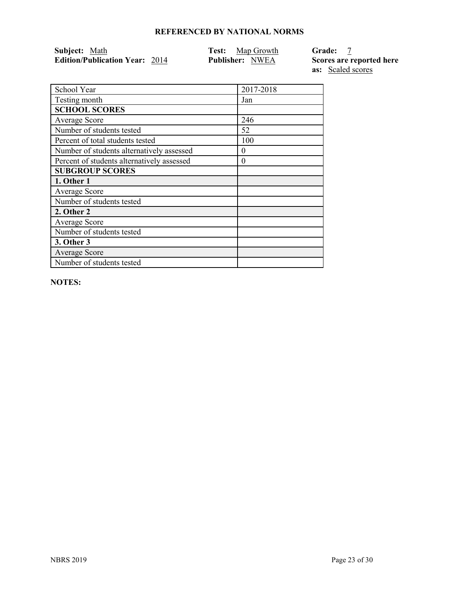| Subject: Math                         | <b>Test:</b> Map Growth | <b>Grade:</b>  |
|---------------------------------------|-------------------------|----------------|
| <b>Edition/Publication Year: 2014</b> | <b>Publisher: NWEA</b>  | Scores are rep |

**Ported here as:** Scaled scores

| School Year                                | 2017-2018 |
|--------------------------------------------|-----------|
| Testing month                              | Jan       |
| <b>SCHOOL SCORES</b>                       |           |
| Average Score                              | 246       |
| Number of students tested                  | 52        |
| Percent of total students tested           | 100       |
| Number of students alternatively assessed  | 0         |
| Percent of students alternatively assessed | 0         |
| <b>SUBGROUP SCORES</b>                     |           |
| 1. Other 1                                 |           |
| Average Score                              |           |
| Number of students tested                  |           |
| 2. Other 2                                 |           |
| <b>Average Score</b>                       |           |
| Number of students tested                  |           |
| 3. Other 3                                 |           |
| Average Score                              |           |
| Number of students tested                  |           |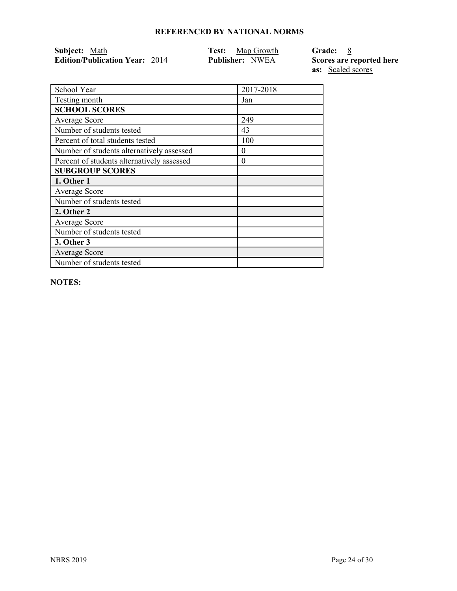| <b>Subject:</b> Math                  | <b>Test:</b> Map Growth | Grade: 8                 |
|---------------------------------------|-------------------------|--------------------------|
| <b>Edition/Publication Year: 2014</b> | <b>Publisher: NWEA</b>  | Scores are reported here |
|                                       |                         | <b>as:</b> Scaled scores |

School Year 2017-2018 Testing month Jan **SCHOOL SCORES** Average Score 249 Number of students tested 43 Percent of total students tested 100 Number of students alternatively assessed 0 Percent of students alternatively assessed 0 **SUBGROUP SCORES 1. Other 1** Average Score Number of students tested **2. Other 2** Average Score Number of students tested **3. Other 3** Average Score Number of students tested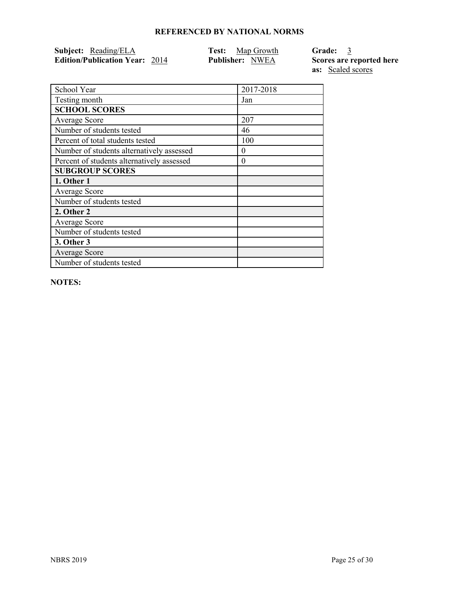| <b>Subject:</b> Reading/ELA           | <b>Test:</b> Map Growth | Grade: 3                 |
|---------------------------------------|-------------------------|--------------------------|
| <b>Edition/Publication Year: 2014</b> | <b>Publisher: NWEA</b>  | Scores are reported here |
|                                       |                         | <b>as:</b> Scaled scores |

| School Year                                | 2017-2018 |
|--------------------------------------------|-----------|
| Testing month                              | Jan       |
| <b>SCHOOL SCORES</b>                       |           |
| Average Score                              | 207       |
| Number of students tested                  | 46        |
| Percent of total students tested           | 100       |
| Number of students alternatively assessed  | $\theta$  |
| Percent of students alternatively assessed | $\theta$  |
| <b>SUBGROUP SCORES</b>                     |           |
| 1. Other 1                                 |           |
| <b>Average Score</b>                       |           |
| Number of students tested                  |           |
| 2. Other 2                                 |           |
| <b>Average Score</b>                       |           |
| Number of students tested                  |           |
| <b>3. Other 3</b>                          |           |
| <b>Average Score</b>                       |           |
| Number of students tested                  |           |
|                                            |           |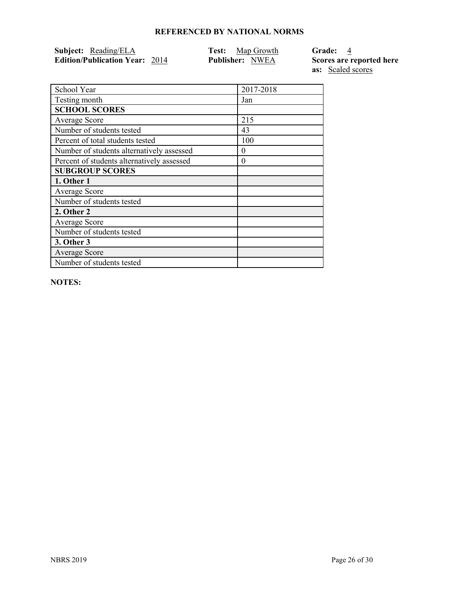| Subject: Reading/ELA                  | <b>Test:</b> Map Growth | Grade: 4                 |
|---------------------------------------|-------------------------|--------------------------|
| <b>Edition/Publication Year: 2014</b> | <b>Publisher:</b> NWEA  | Scores are reported here |

**as:** Scaled scores

| School Year                                | 2017-2018 |
|--------------------------------------------|-----------|
| Testing month                              | Jan       |
| <b>SCHOOL SCORES</b>                       |           |
| Average Score                              | 215       |
| Number of students tested                  | 43        |
| Percent of total students tested           | 100       |
| Number of students alternatively assessed  | $\theta$  |
| Percent of students alternatively assessed | $\theta$  |
| <b>SUBGROUP SCORES</b>                     |           |
| 1. Other 1                                 |           |
| Average Score                              |           |
| Number of students tested                  |           |
| 2. Other 2                                 |           |
| Average Score                              |           |
| Number of students tested                  |           |
| 3. Other 3                                 |           |
| <b>Average Score</b>                       |           |
| Number of students tested                  |           |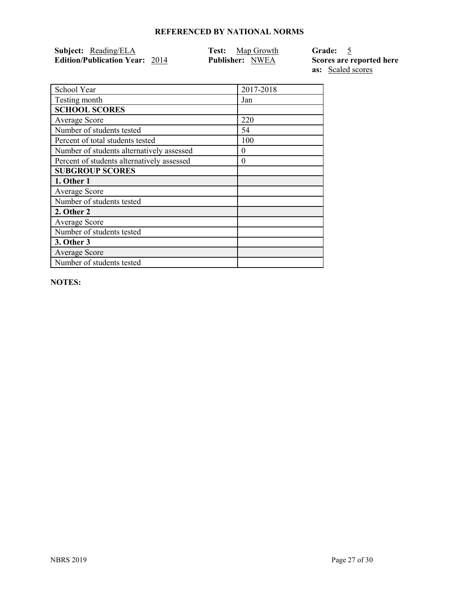| <b>Subject:</b> Reading/ELA           | <b>Test:</b> Map Growth | Grade: 5                 |
|---------------------------------------|-------------------------|--------------------------|
| <b>Edition/Publication Year: 2014</b> | <b>Publisher: NWEA</b>  | Scores are reported here |

**as:** Scaled scores

| School Year                                | 2017-2018 |
|--------------------------------------------|-----------|
| Testing month                              | Jan       |
| <b>SCHOOL SCORES</b>                       |           |
| <b>Average Score</b>                       | 220       |
| Number of students tested                  | 54        |
| Percent of total students tested           | 100       |
| Number of students alternatively assessed  | $\theta$  |
| Percent of students alternatively assessed | $\theta$  |
| <b>SUBGROUP SCORES</b>                     |           |
| 1. Other 1                                 |           |
| Average Score                              |           |
| Number of students tested                  |           |
| 2. Other 2                                 |           |
| <b>Average Score</b>                       |           |
| Number of students tested                  |           |
| 3. Other 3                                 |           |
| <b>Average Score</b>                       |           |
| Number of students tested                  |           |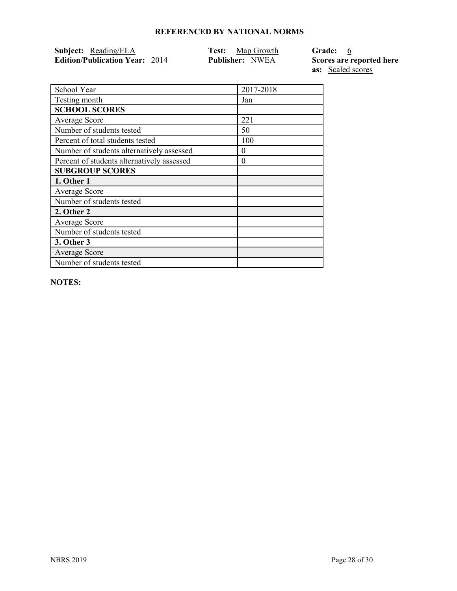| <b>Subject:</b> Reading/ELA           | <b>Test:</b> Map Growth | Grade: 6                 |
|---------------------------------------|-------------------------|--------------------------|
| <b>Edition/Publication Year: 2014</b> | <b>Publisher: NWEA</b>  | Scores are reported here |
|                                       |                         | <b>as:</b> Scaled scores |

| School Year                                | 2017-2018 |
|--------------------------------------------|-----------|
| Testing month                              | Jan       |
| <b>SCHOOL SCORES</b>                       |           |
| <b>Average Score</b>                       | 221       |
| Number of students tested                  | 50        |
| Percent of total students tested           | 100       |
| Number of students alternatively assessed  | $\theta$  |
| Percent of students alternatively assessed | $\theta$  |
| <b>SUBGROUP SCORES</b>                     |           |
| 1. Other 1                                 |           |
| Average Score                              |           |
| Number of students tested                  |           |
| 2. Other 2                                 |           |
| Average Score                              |           |
| Number of students tested                  |           |
| 3. Other 3                                 |           |
| <b>Average Score</b>                       |           |
| Number of students tested                  |           |
|                                            |           |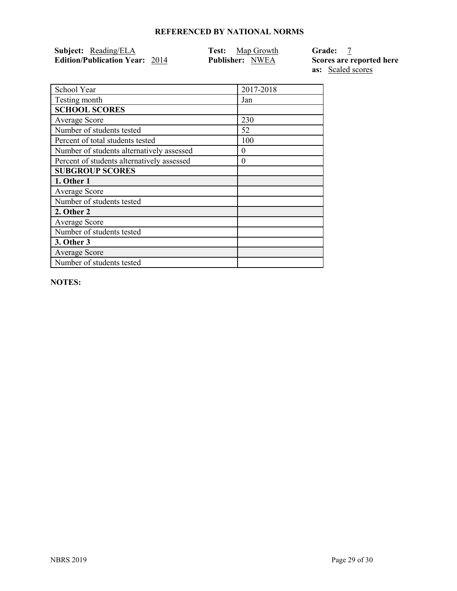| <b>Subject:</b> Reading/ELA           | <b>Test:</b> Map Growth | <b>Grade:</b>            |
|---------------------------------------|-------------------------|--------------------------|
| <b>Edition/Publication Year: 2014</b> | <b>Publisher:</b> NWEA  | Scores are reported here |
|                                       |                         | <b>as:</b> Scaled scores |

| School Year                                | 2017-2018 |
|--------------------------------------------|-----------|
| Testing month                              | Jan       |
| <b>SCHOOL SCORES</b>                       |           |
| <b>Average Score</b>                       | 230       |
| Number of students tested                  | 52        |
| Percent of total students tested           | 100       |
| Number of students alternatively assessed  | $\theta$  |
| Percent of students alternatively assessed | $\Omega$  |
| <b>SUBGROUP SCORES</b>                     |           |
| 1. Other 1                                 |           |
| Average Score                              |           |
| Number of students tested                  |           |
| 2. Other 2                                 |           |
| Average Score                              |           |
| Number of students tested                  |           |
| 3. Other 3                                 |           |
| Average Score                              |           |
| Number of students tested                  |           |